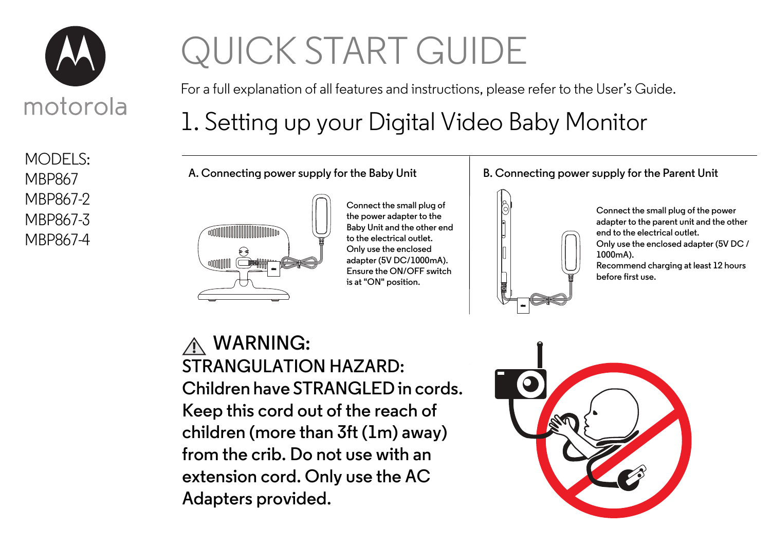

MODELS: MBP867 MBP867-2 MBP867-3 MBP867-4

# QUICK START GUIDE

For a full explanation of all features and instructions, please refer to the User's Guide.

# 1. Setting up your Digital Video Baby Monitor

**A. Connecting power supply for the Baby Unit**



**Connect the small plug of the power adapter to the Baby Unit and the other end to the electrical outlet. Only use the enclosed adapter (5V DC/1000mA). Ensure the ON/OFF switch is at "ON" position.**

#### **B. Connecting power supply for the Parent Unit**



**Connect the small plug of the power adapter to the parent unit and the other end to the electrical outlet. Only use the enclosed adapter (5V DC / 1000mA). Recommend charging at least 12 hours before first use.**

**WARNING: STRANGULATION HAZARD: Children have STRANGLED in cords. Keep this cord out of the reach of children (more than 3ft (1m) away) from the crib. Do not use with an extension cord. Only use the AC Adapters provided.**